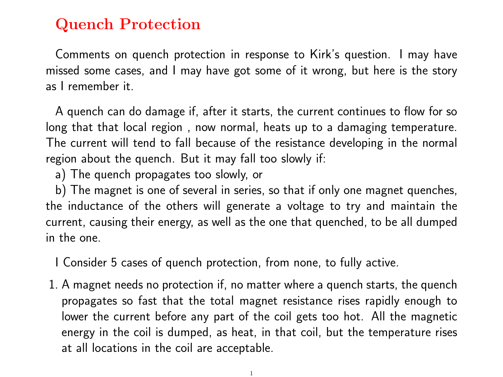## Quench Protection

Comments on quench protection in response to Kirk's question. I may have missed some cases, and I may have got some of it wrong, but here is the story as I remember it.

A quench can do damage if, after it starts, the current continues to flow for so long that that local region , now normal, heats up to a damaging temperature. The current will tend to fall because of the resistance developing in the normal region about the quench. But it may fall too slowly if:

a) The quench propagates too slowly, or

b) The magnet is one of several in series, so that if only one magnet quenches, the inductance of the others will generate a voltage to try and maintain the current, causing their energy, as well as the one that quenched, to be all dumped in the one.

I Consider 5 cases of quench protection, from none, to fully active.

1. A magnet needs no protection if, no matter where a quench starts, the quench propagates so fast that the total magnet resistance rises rapidly enough to lower the current before any part of the coil gets too hot. All the magnetic energy in the coil is dumped, as heat, in that coil, but the temperature rises at all locations in the coil are acceptable.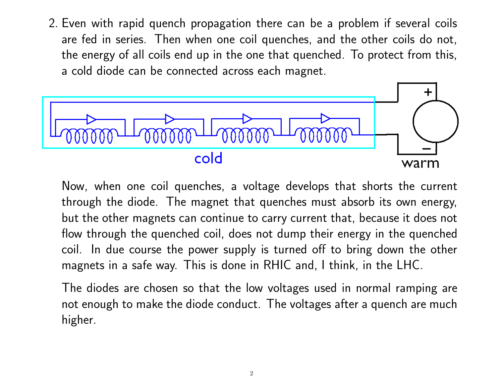2. Even with rapid quench propagation there can be a problem if several coils are fed in series. Then when one coil quenches, and the other coils do not, the energy of all coils end up in the one that quenched. To protect from this, a cold diode can be connected across each magnet.



Now, when one coil quenches, a voltage develops that shorts the current through the diode. The magnet that quenches must absorb its own energy, but the other magnets can continue to carry current that, because it does not flow through the quenched coil, does not dump their energy in the quenched coil. In due course the power supply is turned off to bring down the other magnets in a safe way. This is done in RHIC and, I think, in the LHC.

The diodes are chosen so that the low voltages used in normal ramping are not enough to make the diode conduct. The voltages after a quench are much higher.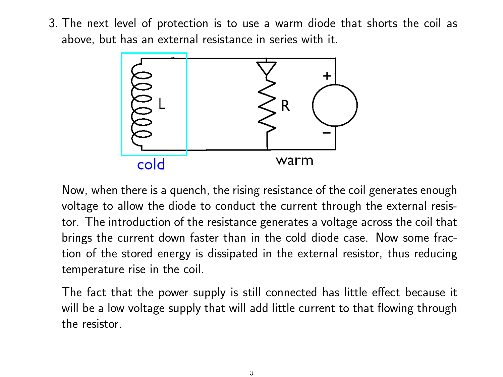3. The next level of protection is to use a warm diode that shorts the coil as above, but has an external resistance in series with it.



Now, when there is a quench, the rising resistance of the coil generates enough voltage to allow the diode to conduct the current through the external resistor. The introduction of the resistance generates a voltage across the coil that brings the current down faster than in the cold diode case. Now some fraction of the stored energy is dissipated in the external resistor, thus reducing temperature rise in the coil.

The fact that the power supply is still connected has little effect because it will be a low voltage supply that will add little current to that flowing through the resistor.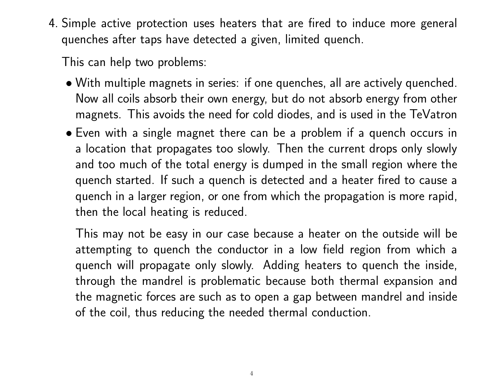4. Simple active protection uses heaters that are fired to induce more general quenches after taps have detected a given, limited quench.

This can help two problems:

- With multiple magnets in series: if one quenches, all are actively quenched. Now all coils absorb their own energy, but do not absorb energy from other magnets. This avoids the need for cold diodes, and is used in the TeVatron
- Even with a single magnet there can be a problem if a quench occurs in a location that propagates too slowly. Then the current drops only slowly and too much of the total energy is dumped in the small region where the quench started. If such a quench is detected and a heater fired to cause a quench in a larger region, or one from which the propagation is more rapid, then the local heating is reduced.

This may not be easy in our case because a heater on the outside will be attempting to quench the conductor in a low field region from which a quench will propagate only slowly. Adding heaters to quench the inside, through the mandrel is problematic because both thermal expansion and the magnetic forces are such as to open a gap between mandrel and inside of the coil, thus reducing the needed thermal conduction.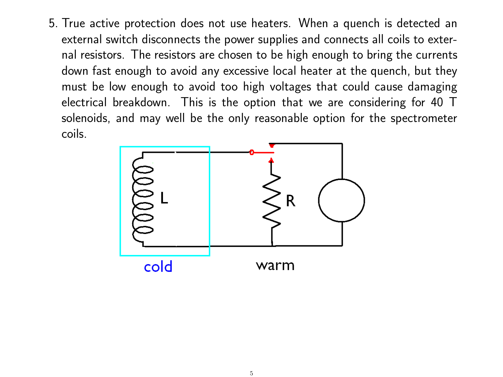5. True active protection does not use heaters. When a quench is detected an external switch disconnects the power supplies and connects all coils to external resistors. The resistors are chosen to be high enough to bring the currents down fast enough to avoid any excessive local heater at the quench, but they must be low enough to avoid too high voltages that could cause damaging electrical breakdown. This is the option that we are considering for 40 T solenoids, and may well be the only reasonable option for the spectrometer coils.